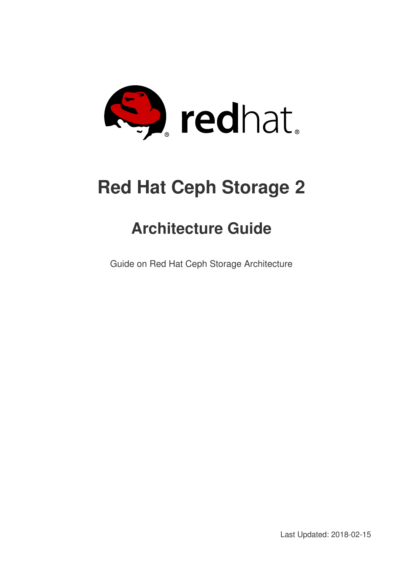

# **Red Hat Ceph Storage 2**

# **Architecture Guide**

Guide on Red Hat Ceph Storage Architecture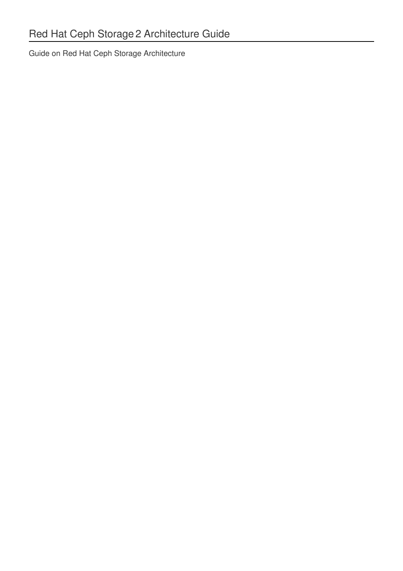Guide on Red Hat Ceph Storage Architecture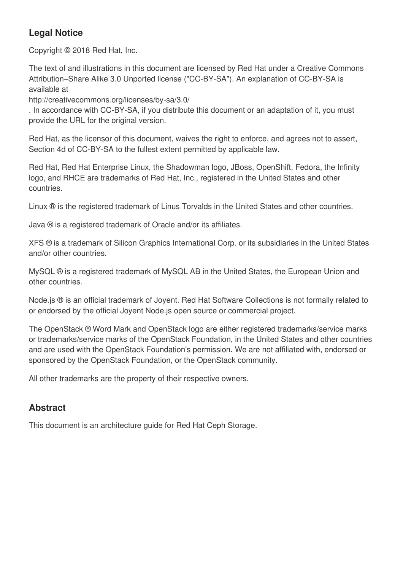### **Legal Notice**

Copyright © 2018 Red Hat, Inc.

The text of and illustrations in this document are licensed by Red Hat under a Creative Commons Attribution–Share Alike 3.0 Unported license ("CC-BY-SA"). An explanation of CC-BY-SA is available at

http://creativecommons.org/licenses/by-sa/3.0/

. In accordance with CC-BY-SA, if you distribute this document or an adaptation of it, you must provide the URL for the original version.

Red Hat, as the licensor of this document, waives the right to enforce, and agrees not to assert, Section 4d of CC-BY-SA to the fullest extent permitted by applicable law.

Red Hat, Red Hat Enterprise Linux, the Shadowman logo, JBoss, OpenShift, Fedora, the Infinity logo, and RHCE are trademarks of Red Hat, Inc., registered in the United States and other countries.

Linux ® is the registered trademark of Linus Torvalds in the United States and other countries.

Java ® is a registered trademark of Oracle and/or its affiliates.

XFS ® is a trademark of Silicon Graphics International Corp. or its subsidiaries in the United States and/or other countries.

MySQL ® is a registered trademark of MySQL AB in the United States, the European Union and other countries.

Node.js ® is an official trademark of Joyent. Red Hat Software Collections is not formally related to or endorsed by the official Joyent Node.js open source or commercial project.

The OpenStack ® Word Mark and OpenStack logo are either registered trademarks/service marks or trademarks/service marks of the OpenStack Foundation, in the United States and other countries and are used with the OpenStack Foundation's permission. We are not affiliated with, endorsed or sponsored by the OpenStack Foundation, or the OpenStack community.

All other trademarks are the property of their respective owners.

### **Abstract**

This document is an architecture guide for Red Hat Ceph Storage.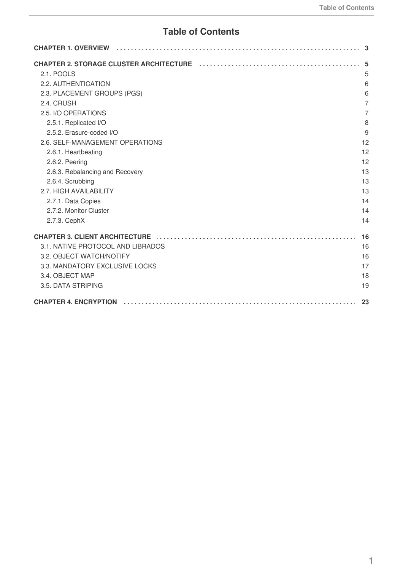### **Table of Contents**

| <b>CHAPTER 1. OVERVIEW</b>            |                |
|---------------------------------------|----------------|
|                                       | 5              |
| 2.1. POOLS                            | 5              |
| 2.2. AUTHENTICATION                   | 6              |
| 2.3. PLACEMENT GROUPS (PGS)           | 6              |
| 2.4. CRUSH                            | 7              |
| 2.5. I/O OPERATIONS                   | $\overline{7}$ |
| 2.5.1. Replicated I/O                 | 8              |
| 2.5.2. Erasure-coded I/O              | 9              |
| 2.6. SELF-MANAGEMENT OPERATIONS       | 12             |
| 2.6.1. Heartbeating                   | 12             |
| 2.6.2. Peering                        | 12             |
| 2.6.3. Rebalancing and Recovery       | 13             |
| 2.6.4. Scrubbing                      | 13             |
| 2.7. HIGH AVAILABILITY                | 13             |
| 2.7.1. Data Copies                    | 14             |
| 2.7.2. Monitor Cluster                | 14             |
| 2.7.3. CephX                          | 14             |
| <b>CHAPTER 3. CLIENT ARCHITECTURE</b> | 16             |
| 3.1. NATIVE PROTOCOL AND LIBRADOS     | 16             |
| 3.2. OBJECT WATCH/NOTIFY              | 16             |
| 3.3. MANDATORY EXCLUSIVE LOCKS        | 17             |
| 3.4. OBJECT MAP                       | 18             |
| 3.5. DATA STRIPING                    | 19             |
| <b>CHAPTER 4. ENCRYPTION</b>          | 23             |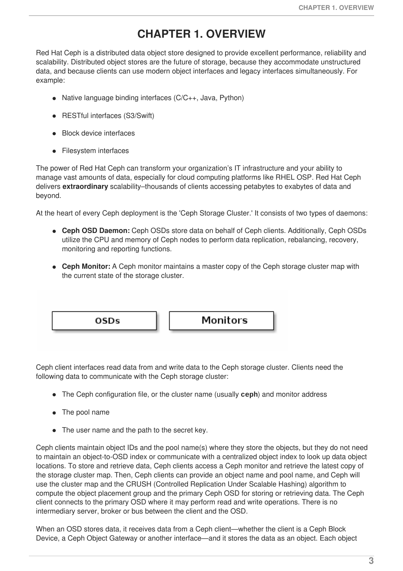### **CHAPTER 1. OVERVIEW**

<span id="page-6-0"></span>Red Hat Ceph is a distributed data object store designed to provide excellent performance, reliability and scalability. Distributed object stores are the future of storage, because they accommodate unstructured data, and because clients can use modern object interfaces and legacy interfaces simultaneously. For example:

- Native language binding interfaces (C/C++, Java, Python)
- RESTful interfaces (S3/Swift)
- Block device interfaces
- Filesystem interfaces

The power of Red Hat Ceph can transform your organization's IT infrastructure and your ability to manage vast amounts of data, especially for cloud computing platforms like RHEL OSP. Red Hat Ceph delivers **extraordinary** scalability–thousands of clients accessing petabytes to exabytes of data and beyond.

At the heart of every Ceph deployment is the 'Ceph Storage Cluster.' It consists of two types of daemons:

- **Ceph OSD Daemon:** Ceph OSDs store data on behalf of Ceph clients. Additionally, Ceph OSDs utilize the CPU and memory of Ceph nodes to perform data replication, rebalancing, recovery, monitoring and reporting functions.
- **Ceph Monitor:** A Ceph monitor maintains a master copy of the Ceph storage cluster map with the current state of the storage cluster.

**Monitors** OSDs

Ceph client interfaces read data from and write data to the Ceph storage cluster. Clients need the following data to communicate with the Ceph storage cluster:

- The Ceph configuration file, or the cluster name (usually **ceph**) and monitor address
- The pool name
- The user name and the path to the secret key.

Ceph clients maintain object IDs and the pool name(s) where they store the objects, but they do not need to maintain an object-to-OSD index or communicate with a centralized object index to look up data object locations. To store and retrieve data, Ceph clients access a Ceph monitor and retrieve the latest copy of the storage cluster map. Then, Ceph clients can provide an object name and pool name, and Ceph will use the cluster map and the CRUSH (Controlled Replication Under Scalable Hashing) algorithm to compute the object placement group and the primary Ceph OSD for storing or retrieving data. The Ceph client connects to the primary OSD where it may perform read and write operations. There is no intermediary server, broker or bus between the client and the OSD.

When an OSD stores data, it receives data from a Ceph client—whether the client is a Ceph Block Device, a Ceph Object Gateway or another interface—and it stores the data as an object. Each object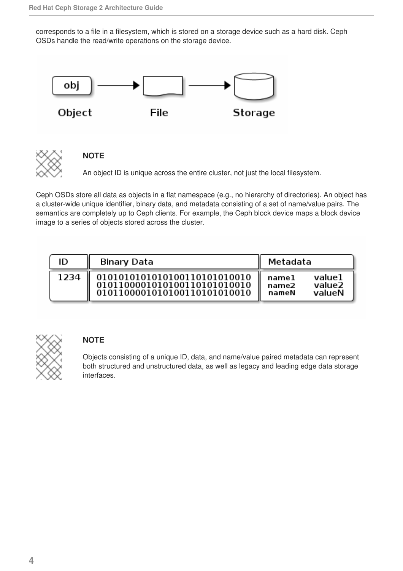corresponds to a file in a filesystem, which is stored on a storage device such as a hard disk. Ceph OSDs handle the read/write operations on the storage device.





#### **NOTE**

An object ID is unique across the entire cluster, not just the local filesystem.

Ceph OSDs store all data as objects in a flat namespace (e.g., no hierarchy of directories). An object has a cluster-wide unique identifier, binary data, and metadata consisting of a set of name/value pairs. The semantics are completely up to Ceph clients. For example, the Ceph block device maps a block device image to a series of objects stored across the cluster.

| ID   | Binary Data                                                                                  | Metadata                                              |
|------|----------------------------------------------------------------------------------------------|-------------------------------------------------------|
| 1234 | 0101010101010100110101010010<br>0101100001010100110101010010<br>0101100001010100110101010010 | value1<br>namel<br>value2<br>name2<br>valueN<br>nameN |



#### **NOTE**

Objects consisting of a unique ID, data, and name/value paired metadata can represent both structured and unstructured data, as well as legacy and leading edge data storage interfaces.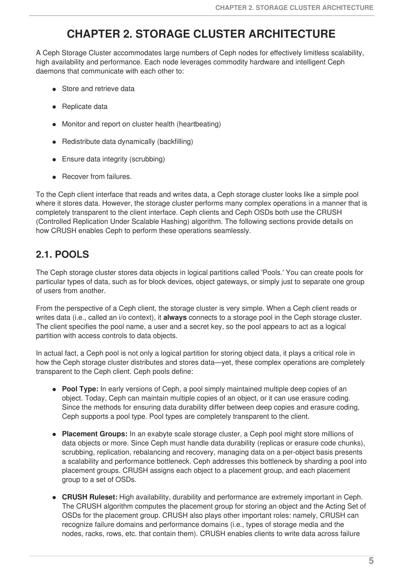### **CHAPTER 2. STORAGE CLUSTER ARCHITECTURE**

<span id="page-8-0"></span>A Ceph Storage Cluster accommodates large numbers of Ceph nodes for effectively limitless scalability, high availability and performance. Each node leverages commodity hardware and intelligent Ceph daemons that communicate with each other to:

- Store and retrieve data
- Replicate data
- Monitor and report on cluster health (heartbeating)
- Redistribute data dynamically (backfilling)
- Ensure data integrity (scrubbing)
- Recover from failures.

To the Ceph client interface that reads and writes data, a Ceph storage cluster looks like a simple pool where it stores data. However, the storage cluster performs many complex operations in a manner that is completely transparent to the client interface. Ceph clients and Ceph OSDs both use the CRUSH (Controlled Replication Under Scalable Hashing) algorithm. The following sections provide details on how CRUSH enables Ceph to perform these operations seamlessly.

### <span id="page-8-1"></span>**2.1. POOLS**

The Ceph storage cluster stores data objects in logical partitions called 'Pools.' You can create pools for particular types of data, such as for block devices, object gateways, or simply just to separate one group of users from another.

From the perspective of a Ceph client, the storage cluster is very simple. When a Ceph client reads or writes data (i.e., called an i/o context), it **always** connects to a storage pool in the Ceph storage cluster. The client specifies the pool name, a user and a secret key, so the pool appears to act as a logical partition with access controls to data objects.

In actual fact, a Ceph pool is not only a logical partition for storing object data, it plays a critical role in how the Ceph storage cluster distributes and stores data—yet, these complex operations are completely transparent to the Ceph client. Ceph pools define:

- **Pool Type:** In early versions of Ceph, a pool simply maintained multiple deep copies of an object. Today, Ceph can maintain multiple copies of an object, or it can use erasure coding. Since the methods for ensuring data durability differ between deep copies and erasure coding, Ceph supports a pool type. Pool types are completely transparent to the client.
- **Placement Groups:** In an exabyte scale storage cluster, a Ceph pool might store millions of data objects or more. Since Ceph must handle data durability (replicas or erasure code chunks), scrubbing, replication, rebalancing and recovery, managing data on a per-object basis presents a scalability and performance bottleneck. Ceph addresses this bottleneck by sharding a pool into placement groups. CRUSH assigns each object to a placement group, and each placement group to a set of OSDs.
- **CRUSH Ruleset:** High availability, durability and performance are extremely important in Ceph. The CRUSH algorithm computes the placement group for storing an object and the Acting Set of OSDs for the placement group. CRUSH also plays other important roles: namely, CRUSH can recognize failure domains and performance domains (i.e., types of storage media and the nodes, racks, rows, etc. that contain them). CRUSH enables clients to write data across failure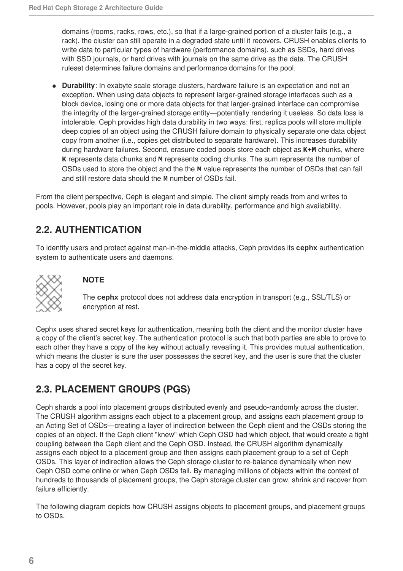domains (rooms, racks, rows, etc.), so that if a large-grained portion of a cluster fails (e.g., a rack), the cluster can still operate in a degraded state until it recovers. CRUSH enables clients to write data to particular types of hardware (performance domains), such as SSDs, hard drives with SSD journals, or hard drives with journals on the same drive as the data. The CRUSH ruleset determines failure domains and performance domains for the pool.

**Durability**: In exabyte scale storage clusters, hardware failure is an expectation and not an exception. When using data objects to represent larger-grained storage interfaces such as a block device, losing one or more data objects for that larger-grained interface can compromise the integrity of the larger-grained storage entity—potentially rendering it useless. So data loss is intolerable. Ceph provides high data durability in two ways: first, replica pools will store multiple deep copies of an object using the CRUSH failure domain to physically separate one data object copy from another (i.e., copies get distributed to separate hardware). This increases durability during hardware failures. Second, erasure coded pools store each object as **K+M** chunks, where **K** represents data chunks and **M** represents coding chunks. The sum represents the number of OSDs used to store the object and the the **M** value represents the number of OSDs that can fail and still restore data should the **M** number of OSDs fail.

From the client perspective, Ceph is elegant and simple. The client simply reads from and writes to pools. However, pools play an important role in data durability, performance and high availability.

### <span id="page-9-0"></span>**2.2. AUTHENTICATION**

To identify users and protect against man-in-the-middle attacks, Ceph provides its **cephx** authentication system to authenticate users and daemons.



#### **NOTE**

The **cephx** protocol does not address data encryption in transport (e.g., SSL/TLS) or encryption at rest.

Cephx uses shared secret keys for authentication, meaning both the client and the monitor cluster have a copy of the client's secret key. The authentication protocol is such that both parties are able to prove to each other they have a copy of the key without actually revealing it. This provides mutual authentication, which means the cluster is sure the user possesses the secret key, and the user is sure that the cluster has a copy of the secret key.

### <span id="page-9-1"></span>**2.3. PLACEMENT GROUPS (PGS)**

Ceph shards a pool into placement groups distributed evenly and pseudo-randomly across the cluster. The CRUSH algorithm assigns each object to a placement group, and assigns each placement group to an Acting Set of OSDs—creating a layer of indirection between the Ceph client and the OSDs storing the copies of an object. If the Ceph client "knew" which Ceph OSD had which object, that would create a tight coupling between the Ceph client and the Ceph OSD. Instead, the CRUSH algorithm dynamically assigns each object to a placement group and then assigns each placement group to a set of Ceph OSDs. This layer of indirection allows the Ceph storage cluster to re-balance dynamically when new Ceph OSD come online or when Ceph OSDs fail. By managing millions of objects within the context of hundreds to thousands of placement groups, the Ceph storage cluster can grow, shrink and recover from failure efficiently.

The following diagram depicts how CRUSH assigns objects to placement groups, and placement groups to OSDs.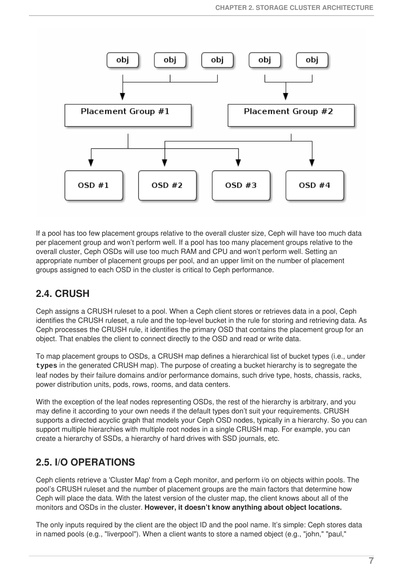

If a pool has too few placement groups relative to the overall cluster size, Ceph will have too much data per placement group and won't perform well. If a pool has too many placement groups relative to the overall cluster, Ceph OSDs will use too much RAM and CPU and won't perform well. Setting an appropriate number of placement groups per pool, and an upper limit on the number of placement groups assigned to each OSD in the cluster is critical to Ceph performance.

### <span id="page-10-0"></span>**2.4. CRUSH**

Ceph assigns a CRUSH ruleset to a pool. When a Ceph client stores or retrieves data in a pool, Ceph identifies the CRUSH ruleset, a rule and the top-level bucket in the rule for storing and retrieving data. As Ceph processes the CRUSH rule, it identifies the primary OSD that contains the placement group for an object. That enables the client to connect directly to the OSD and read or write data.

To map placement groups to OSDs, a CRUSH map defines a hierarchical list of bucket types (i.e., under **types** in the generated CRUSH map). The purpose of creating a bucket hierarchy is to segregate the leaf nodes by their failure domains and/or performance domains, such drive type, hosts, chassis, racks, power distribution units, pods, rows, rooms, and data centers.

With the exception of the leaf nodes representing OSDs, the rest of the hierarchy is arbitrary, and you may define it according to your own needs if the default types don't suit your requirements. CRUSH supports a directed acyclic graph that models your Ceph OSD nodes, typically in a hierarchy. So you can support multiple hierarchies with multiple root nodes in a single CRUSH map. For example, you can create a hierarchy of SSDs, a hierarchy of hard drives with SSD journals, etc.

### <span id="page-10-1"></span>**2.5. I/O OPERATIONS**

Ceph clients retrieve a 'Cluster Map' from a Ceph monitor, and perform i/o on objects within pools. The pool's CRUSH ruleset and the number of placement groups are the main factors that determine how Ceph will place the data. With the latest version of the cluster map, the client knows about all of the monitors and OSDs in the cluster. **However, it doesn't know anything about object locations.**

The only inputs required by the client are the object ID and the pool name. It's simple: Ceph stores data in named pools (e.g., "liverpool"). When a client wants to store a named object (e.g., "john," "paul,"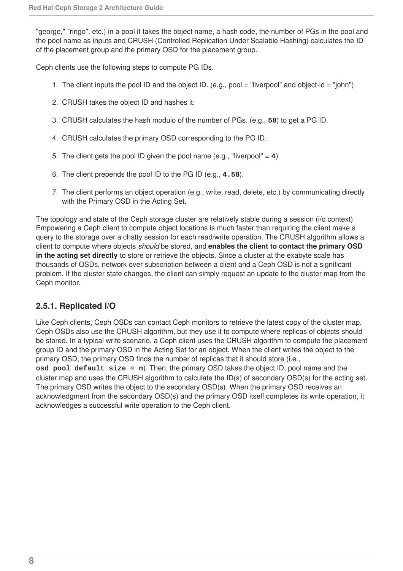"george," "ringo", etc.) in a pool it takes the object name, a hash code, the number of PGs in the pool and the pool name as inputs and CRUSH (Controlled Replication Under Scalable Hashing) calculates the ID of the placement group and the primary OSD for the placement group.

Ceph clients use the following steps to compute PG IDs.

- 1. The client inputs the pool ID and the object ID. (e.g., pool = "liverpool" and object-id = "john")
- 2. CRUSH takes the object ID and hashes it.
- 3. CRUSH calculates the hash modulo of the number of PGs. (e.g., **58**) to get a PG ID.
- 4. CRUSH calculates the primary OSD corresponding to the PG ID.
- 5. The client gets the pool ID given the pool name (e.g., "liverpool" = **4**)
- 6. The client prepends the pool ID to the PG ID (e.g., **4.58**).
- 7. The client performs an object operation (e.g., write, read, delete, etc.) by communicating directly with the Primary OSD in the Acting Set.

The topology and state of the Ceph storage cluster are relatively stable during a session (i/o context). Empowering a Ceph client to compute object locations is much faster than requiring the client make a query to the storage over a chatty session for each read/write operation. The CRUSH algorithm allows a client to compute where objects *should* be stored, and **enables the client to contact the primary OSD in the acting set directly** to store or retrieve the objects. Since a cluster at the exabyte scale has thousands of OSDs, network over subscription between a client and a Ceph OSD is not a significant problem. If the cluster state changes, the client can simply request an update to the cluster map from the Ceph monitor.

#### <span id="page-11-0"></span>**2.5.1. Replicated I/O**

Like Ceph clients, Ceph OSDs can contact Ceph monitors to retrieve the latest copy of the cluster map. Ceph OSDs also use the CRUSH algorithm, but they use it to compute where replicas of objects should be stored. In a typical write scenario, a Ceph client uses the CRUSH algorithm to compute the placement group ID and the primary OSD in the Acting Set for an object. When the client writes the object to the primary OSD, the primary OSD finds the number of replicas that it should store (i.e.,

**osd\_pool\_default\_size = n**). Then, the primary OSD takes the object ID, pool name and the cluster map and uses the CRUSH algorithm to calculate the ID(s) of secondary OSD(s) for the acting set. The primary OSD writes the object to the secondary OSD(s). When the primary OSD receives an acknowledgment from the secondary OSD(s) and the primary OSD itself completes its write operation, it acknowledges a successful write operation to the Ceph client.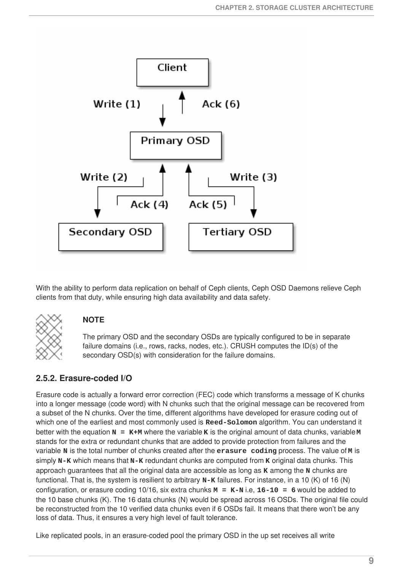

With the ability to perform data replication on behalf of Ceph clients, Ceph OSD Daemons relieve Ceph clients from that duty, while ensuring high data availability and data safety.



#### **NOTE**

The primary OSD and the secondary OSDs are typically configured to be in separate failure domains (i.e., rows, racks, nodes, etc.). CRUSH computes the ID(s) of the secondary OSD(s) with consideration for the failure domains.

#### <span id="page-12-0"></span>**2.5.2. Erasure-coded I/O**

Erasure code is actually a forward error correction (FEC) code which transforms a message of K chunks into a longer message (code word) with N chunks such that the original message can be recovered from a subset of the N chunks. Over the time, different algorithms have developed for erasure coding out of which one of the earliest and most commonly used is **Reed-Solomon** algorithm. You can understand it better with the equation **N = K+M** where the variable **K** is the original amount of data chunks, variable**M** stands for the extra or redundant chunks that are added to provide protection from failures and the variable **N** is the total number of chunks created after the **erasure coding** process. The value of **M** is simply **N-K** which means that **N-K** redundant chunks are computed from **K** original data chunks. This approach guarantees that all the original data are accessible as long as **K** among the **N** chunks are functional. That is, the system is resilient to arbitrary **N-K** failures. For instance, in a 10 (K) of 16 (N) configuration, or erasure coding 10/16, six extra chunks **M = K-N** i.e, **16-10 = 6** would be added to the 10 base chunks (K). The 16 data chunks (N) would be spread across 16 OSDs. The original file could be reconstructed from the 10 verified data chunks even if 6 OSDs fail. It means that there won't be any loss of data. Thus, it ensures a very high level of fault tolerance.

Like replicated pools, in an erasure-coded pool the primary OSD in the up set receives all write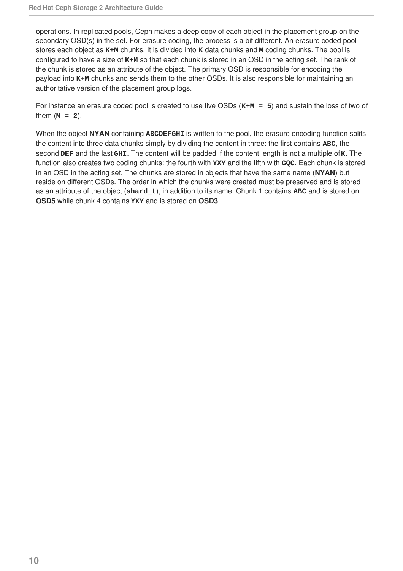operations. In replicated pools, Ceph makes a deep copy of each object in the placement group on the secondary OSD(s) in the set. For erasure coding, the process is a bit different. An erasure coded pool stores each object as **K+M** chunks. It is divided into **K** data chunks and **M** coding chunks. The pool is configured to have a size of **K+M** so that each chunk is stored in an OSD in the acting set. The rank of the chunk is stored as an attribute of the object. The primary OSD is responsible for encoding the payload into **K+M** chunks and sends them to the other OSDs. It is also responsible for maintaining an authoritative version of the placement group logs.

For instance an erasure coded pool is created to use five OSDs (**K+M = 5**) and sustain the loss of two of them  $(M = 2)$ .

When the object **NYAN** containing **ABCDEFGHI** is written to the pool, the erasure encoding function splits the content into three data chunks simply by dividing the content in three: the first contains **ABC**, the second **DEF** and the last **GHI**. The content will be padded if the content length is not a multiple of**K**. The function also creates two coding chunks: the fourth with **YXY** and the fifth with **GQC**. Each chunk is stored in an OSD in the acting set. The chunks are stored in objects that have the same name (**NYAN**) but reside on different OSDs. The order in which the chunks were created must be preserved and is stored as an attribute of the object (**shard\_t**), in addition to its name. Chunk 1 contains **ABC** and is stored on **OSD5** while chunk 4 contains **YXY** and is stored on **OSD3**.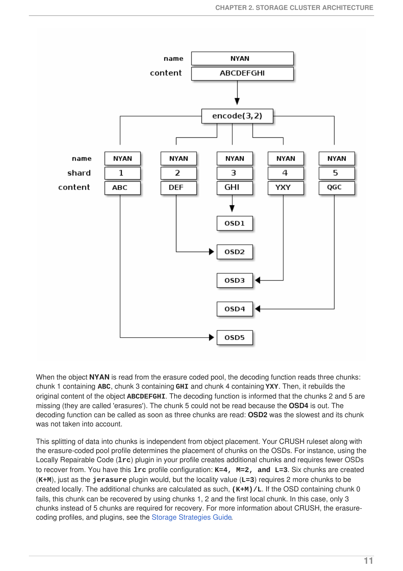

When the object **NYAN** is read from the erasure coded pool, the decoding function reads three chunks: chunk 1 containing **ABC**, chunk 3 containing **GHI** and chunk 4 containing **YXY**. Then, it rebuilds the original content of the object **ABCDEFGHI**. The decoding function is informed that the chunks 2 and 5 are missing (they are called 'erasures'). The chunk 5 could not be read because the **OSD4** is out. The decoding function can be called as soon as three chunks are read: **OSD2** was the slowest and its chunk was not taken into account.

This splitting of data into chunks is independent from object placement. Your CRUSH ruleset along with the erasure-coded pool profile determines the placement of chunks on the OSDs. For instance, using the Locally Repairable Code (**lrc**) plugin in your profile creates additional chunks and requires fewer OSDs to recover from. You have this **lrc** profile configuration: **K=4, M=2, and L=3**. Six chunks are created (**K+M**), just as the **jerasure** plugin would, but the locality value (**L=3**) requires 2 more chunks to be created locally. The additional chunks are calculated as such, **(K+M)/L**. If the OSD containing chunk 0 fails, this chunk can be recovered by using chunks 1, 2 and the first local chunk. In this case, only 3 chunks instead of 5 chunks are required for recovery. For more information about CRUSH, the erasurecoding profiles, and plugins, see the Storage [Strategies](https://access.redhat.com/documentation/en/red-hat-ceph-storage/2/single/storage-strategies-guide) Guide.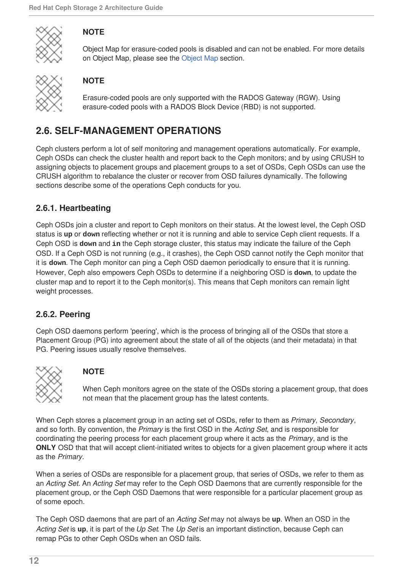#### **NOTE**

Object Map for erasure-coded pools is disabled and can not be enabled. For more details on Object Map, please see the [Object](#page-21-1) Map section.



#### **NOTE**

Erasure-coded pools are only supported with the RADOS Gateway (RGW). Using erasure-coded pools with a RADOS Block Device (RBD) is not supported.

### <span id="page-15-0"></span>**2.6. SELF-MANAGEMENT OPERATIONS**

Ceph clusters perform a lot of self monitoring and management operations automatically. For example, Ceph OSDs can check the cluster health and report back to the Ceph monitors; and by using CRUSH to assigning objects to placement groups and placement groups to a set of OSDs, Ceph OSDs can use the CRUSH algorithm to rebalance the cluster or recover from OSD failures dynamically. The following sections describe some of the operations Ceph conducts for you.

#### <span id="page-15-1"></span>**2.6.1. Heartbeating**

Ceph OSDs join a cluster and report to Ceph monitors on their status. At the lowest level, the Ceph OSD status is **up** or **down** reflecting whether or not it is running and able to service Ceph client requests. If a Ceph OSD is **down** and **in** the Ceph storage cluster, this status may indicate the failure of the Ceph OSD. If a Ceph OSD is not running (e.g., it crashes), the Ceph OSD cannot notify the Ceph monitor that it is **down**. The Ceph monitor can ping a Ceph OSD daemon periodically to ensure that it is running. However, Ceph also empowers Ceph OSDs to determine if a neighboring OSD is **down**, to update the cluster map and to report it to the Ceph monitor(s). This means that Ceph monitors can remain light weight processes.

#### <span id="page-15-2"></span>**2.6.2. Peering**

Ceph OSD daemons perform 'peering', which is the process of bringing all of the OSDs that store a Placement Group (PG) into agreement about the state of all of the objects (and their metadata) in that PG. Peering issues usually resolve themselves.



#### **NOTE**

When Ceph monitors agree on the state of the OSDs storing a placement group, that does not mean that the placement group has the latest contents.

When Ceph stores a placement group in an acting set of OSDs, refer to them as *Primary*, *Secondary*, and so forth. By convention, the *Primary* is the first OSD in the *Acting Set*, and is responsible for coordinating the peering process for each placement group where it acts as the *Primary*, and is the **ONLY** OSD that that will accept client-initiated writes to objects for a given placement group where it acts as the *Primary*.

When a series of OSDs are responsible for a placement group, that series of OSDs, we refer to them as an *Acting Set*. An *Acting Set* may refer to the Ceph OSD Daemons that are currently responsible for the placement group, or the Ceph OSD Daemons that were responsible for a particular placement group as of some epoch.

The Ceph OSD daemons that are part of an *Acting Set* may not always be **up**. When an OSD in the *Acting Set* is **up**, it is part of the *Up Set*. The *Up Set* is an important distinction, because Ceph can remap PGs to other Ceph OSDs when an OSD fails.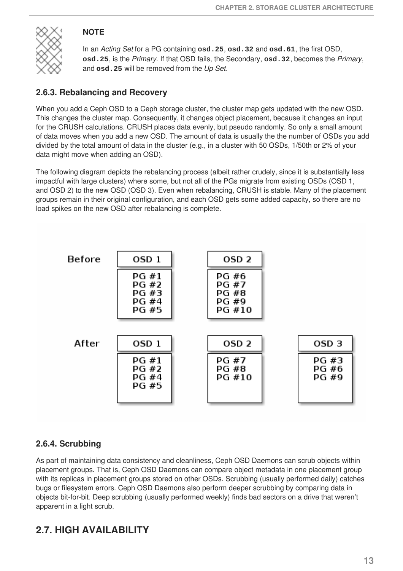

#### **NOTE**

In an *Acting Set* for a PG containing **osd.25**, **osd.32** and **osd.61**, the first OSD, **osd.25**, is the *Primary*. If that OSD fails, the Secondary, **osd.32**, becomes the *Primary*, and **osd.25** will be removed from the *Up Set*.

#### <span id="page-16-0"></span>**2.6.3. Rebalancing and Recovery**

When you add a Ceph OSD to a Ceph storage cluster, the cluster map gets updated with the new OSD. This changes the cluster map. Consequently, it changes object placement, because it changes an input for the CRUSH calculations. CRUSH places data evenly, but pseudo randomly. So only a small amount of data moves when you add a new OSD. The amount of data is usually the the number of OSDs you add divided by the total amount of data in the cluster (e.g., in a cluster with 50 OSDs, 1/50th or 2% of your data might move when adding an OSD).

The following diagram depicts the rebalancing process (albeit rather crudely, since it is substantially less impactful with large clusters) where some, but not all of the PGs migrate from existing OSDs (OSD 1, and OSD 2) to the new OSD (OSD 3). Even when rebalancing, CRUSH is stable. Many of the placement groups remain in their original configuration, and each OSD gets some added capacity, so there are no load spikes on the new OSD after rebalancing is complete.



#### <span id="page-16-1"></span>**2.6.4. Scrubbing**

As part of maintaining data consistency and cleanliness, Ceph OSD Daemons can scrub objects within placement groups. That is, Ceph OSD Daemons can compare object metadata in one placement group with its replicas in placement groups stored on other OSDs. Scrubbing (usually performed daily) catches bugs or filesystem errors. Ceph OSD Daemons also perform deeper scrubbing by comparing data in objects bit-for-bit. Deep scrubbing (usually performed weekly) finds bad sectors on a drive that weren't apparent in a light scrub.

### <span id="page-16-2"></span>**2.7. HIGH AVAILABILITY**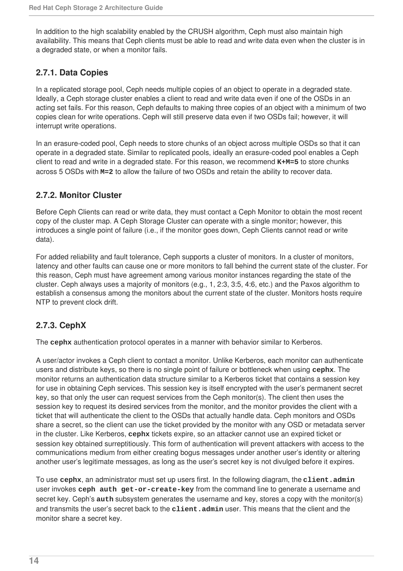In addition to the high scalability enabled by the CRUSH algorithm, Ceph must also maintain high availability. This means that Ceph clients must be able to read and write data even when the cluster is in a degraded state, or when a monitor fails.

#### <span id="page-17-0"></span>**2.7.1. Data Copies**

In a replicated storage pool, Ceph needs multiple copies of an object to operate in a degraded state. Ideally, a Ceph storage cluster enables a client to read and write data even if one of the OSDs in an acting set fails. For this reason, Ceph defaults to making three copies of an object with a minimum of two copies clean for write operations. Ceph will still preserve data even if two OSDs fail; however, it will interrupt write operations.

In an erasure-coded pool, Ceph needs to store chunks of an object across multiple OSDs so that it can operate in a degraded state. Similar to replicated pools, ideally an erasure-coded pool enables a Ceph client to read and write in a degraded state. For this reason, we recommend **K+M=5** to store chunks across 5 OSDs with **M=2** to allow the failure of two OSDs and retain the ability to recover data.

#### <span id="page-17-1"></span>**2.7.2. Monitor Cluster**

Before Ceph Clients can read or write data, they must contact a Ceph Monitor to obtain the most recent copy of the cluster map. A Ceph Storage Cluster can operate with a single monitor; however, this introduces a single point of failure (i.e., if the monitor goes down, Ceph Clients cannot read or write data).

For added reliability and fault tolerance, Ceph supports a cluster of monitors. In a cluster of monitors, latency and other faults can cause one or more monitors to fall behind the current state of the cluster. For this reason, Ceph must have agreement among various monitor instances regarding the state of the cluster. Ceph always uses a majority of monitors (e.g., 1, 2:3, 3:5, 4:6, etc.) and the Paxos algorithm to establish a consensus among the monitors about the current state of the cluster. Monitors hosts require NTP to prevent clock drift.

#### <span id="page-17-2"></span>**2.7.3. CephX**

The **cephx** authentication protocol operates in a manner with behavior similar to Kerberos.

A user/actor invokes a Ceph client to contact a monitor. Unlike Kerberos, each monitor can authenticate users and distribute keys, so there is no single point of failure or bottleneck when using **cephx**. The monitor returns an authentication data structure similar to a Kerberos ticket that contains a session key for use in obtaining Ceph services. This session key is itself encrypted with the user's permanent secret key, so that only the user can request services from the Ceph monitor(s). The client then uses the session key to request its desired services from the monitor, and the monitor provides the client with a ticket that will authenticate the client to the OSDs that actually handle data. Ceph monitors and OSDs share a secret, so the client can use the ticket provided by the monitor with any OSD or metadata server in the cluster. Like Kerberos, **cephx** tickets expire, so an attacker cannot use an expired ticket or session key obtained surreptitiously. This form of authentication will prevent attackers with access to the communications medium from either creating bogus messages under another user's identity or altering another user's legitimate messages, as long as the user's secret key is not divulged before it expires.

To use **cephx**, an administrator must set up users first. In the following diagram, the **client.admin** user invokes **ceph auth get-or-create-key** from the command line to generate a username and secret key. Ceph's **auth** subsystem generates the username and key, stores a copy with the monitor(s) and transmits the user's secret back to the **client.admin** user. This means that the client and the monitor share a secret key.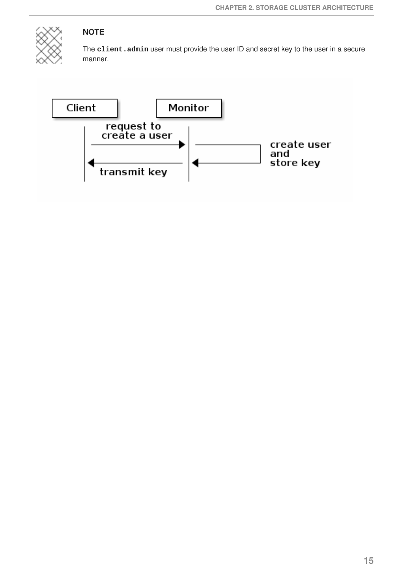

#### **NOTE**

The **client.admin** user must provide the user ID and secret key to the user in a secure manner.

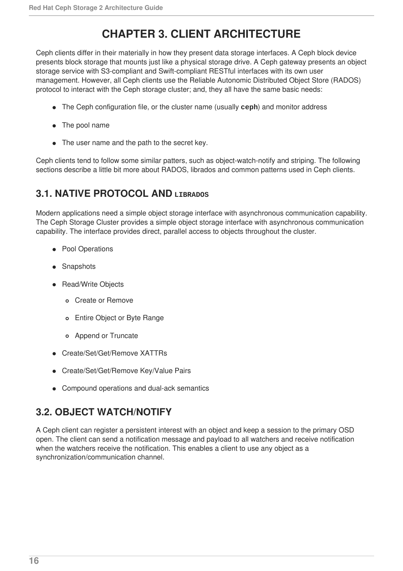## **CHAPTER 3. CLIENT ARCHITECTURE**

<span id="page-19-0"></span>Ceph clients differ in their materially in how they present data storage interfaces. A Ceph block device presents block storage that mounts just like a physical storage drive. A Ceph gateway presents an object storage service with S3-compliant and Swift-compliant RESTful interfaces with its own user management. However, all Ceph clients use the Reliable Autonomic Distributed Object Store (RADOS) protocol to interact with the Ceph storage cluster; and, they all have the same basic needs:

- The Ceph configuration file, or the cluster name (usually **ceph**) and monitor address
- The pool name
- The user name and the path to the secret key.

Ceph clients tend to follow some similar patters, such as object-watch-notify and striping. The following sections describe a little bit more about RADOS, librados and common patterns used in Ceph clients.

### <span id="page-19-1"></span>**3.1. NATIVE PROTOCOL AND LIBRADOS**

Modern applications need a simple object storage interface with asynchronous communication capability. The Ceph Storage Cluster provides a simple object storage interface with asynchronous communication capability. The interface provides direct, parallel access to objects throughout the cluster.

- Pool Operations
- Snapshots
- Read/Write Objects
	- Create or Remove
	- Entire Object or Byte Range
	- Append or Truncate
- Create/Set/Get/Remove XATTRs
- Create/Set/Get/Remove Key/Value Pairs
- Compound operations and dual-ack semantics

### <span id="page-19-2"></span>**3.2. OBJECT WATCH/NOTIFY**

A Ceph client can register a persistent interest with an object and keep a session to the primary OSD open. The client can send a notification message and payload to all watchers and receive notification when the watchers receive the notification. This enables a client to use any object as a synchronization/communication channel.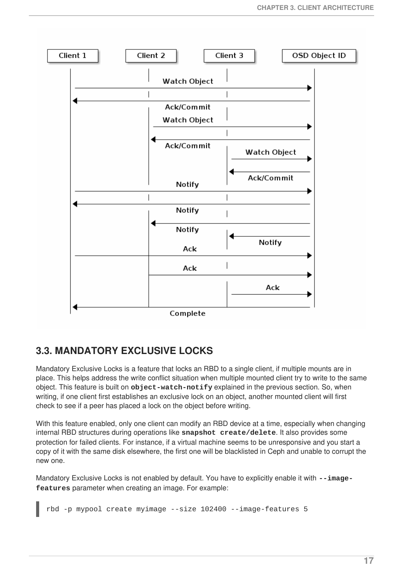

### <span id="page-20-0"></span>**3.3. MANDATORY EXCLUSIVE LOCKS**

Mandatory Exclusive Locks is a feature that locks an RBD to a single client, if multiple mounts are in place. This helps address the write conflict situation when multiple mounted client try to write to the same object. This feature is built on **object-watch-notify** explained in the previous section. So, when writing, if one client first establishes an exclusive lock on an object, another mounted client will first check to see if a peer has placed a lock on the object before writing.

With this feature enabled, only one client can modify an RBD device at a time, especially when changing internal RBD structures during operations like **snapshot create/delete**. It also provides some protection for failed clients. For instance, if a virtual machine seems to be unresponsive and you start a copy of it with the same disk elsewhere, the first one will be blacklisted in Ceph and unable to corrupt the new one.

Mandatory Exclusive Locks is not enabled by default. You have to explicitly enable it with **--imagefeatures** parameter when creating an image. For example:

rbd -p mypool create myimage --size 102400 --image-features 5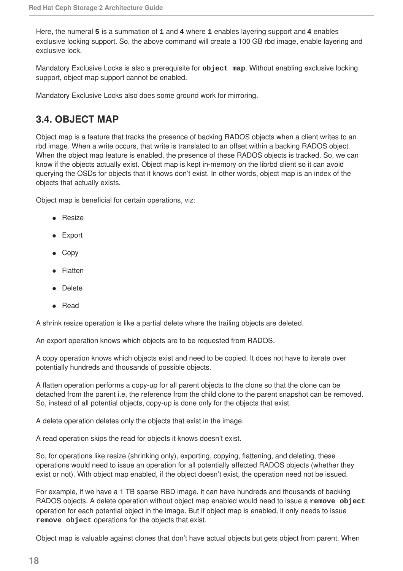Here, the numeral **5** is a summation of **1** and **4** where **1** enables layering support and **4** enables exclusive locking support. So, the above command will create a 100 GB rbd image, enable layering and exclusive lock.

Mandatory Exclusive Locks is also a prerequisite for **object map**. Without enabling exclusive locking support, object map support cannot be enabled.

Mandatory Exclusive Locks also does some ground work for mirroring.

### <span id="page-21-0"></span>**3.4. OBJECT MAP**

<span id="page-21-1"></span>Object map is a feature that tracks the presence of backing RADOS objects when a client writes to an rbd image. When a write occurs, that write is translated to an offset within a backing RADOS object. When the object map feature is enabled, the presence of these RADOS objects is tracked. So, we can know if the objects actually exist. Object map is kept in-memory on the librbd client so it can avoid querying the OSDs for objects that it knows don't exist. In other words, object map is an index of the objects that actually exists.

Object map is beneficial for certain operations, viz:

- Resize
- Export
- Copy
- Flatten
- **•** Delete
- Read

A shrink resize operation is like a partial delete where the trailing objects are deleted.

An export operation knows which objects are to be requested from RADOS.

A copy operation knows which objects exist and need to be copied. It does not have to iterate over potentially hundreds and thousands of possible objects.

A flatten operation performs a copy-up for all parent objects to the clone so that the clone can be detached from the parent i.e, the reference from the child clone to the parent snapshot can be removed. So, instead of all potential objects, copy-up is done only for the objects that exist.

A delete operation deletes only the objects that exist in the image.

A read operation skips the read for objects it knows doesn't exist.

So, for operations like resize (shrinking only), exporting, copying, flattening, and deleting, these operations would need to issue an operation for all potentially affected RADOS objects (whether they exist or not). With object map enabled, if the object doesn't exist, the operation need not be issued.

For example, if we have a 1 TB sparse RBD image, it can have hundreds and thousands of backing RADOS objects. A delete operation without object map enabled would need to issue a **remove object** operation for each potential object in the image. But if object map is enabled, it only needs to issue **remove object** operations for the objects that exist.

Object map is valuable against clones that don't have actual objects but gets object from parent. When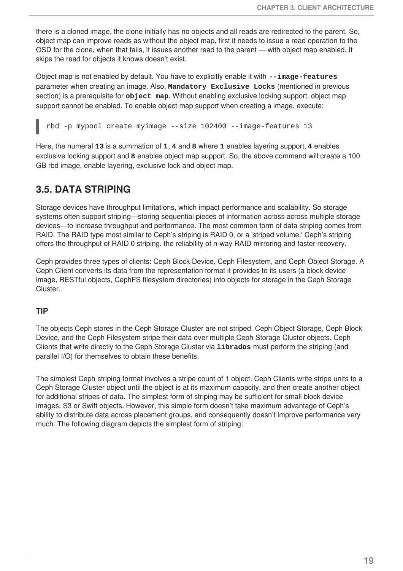there is a cloned image, the clone initially has no objects and all reads are redirected to the parent. So, object map can improve reads as without the object map, first it needs to issue a read operation to the OSD for the clone, when that fails, it issues another read to the parent — with object map enabled. It skips the read for objects it knows doesn't exist.

Object map is not enabled by default. You have to explicitly enable it with **--image-features** parameter when creating an image. Also, **Mandatory Exclusive Locks** (mentioned in previous section) is a prerequisite for **object map**. Without enabling exclusive locking support, object map support cannot be enabled. To enable object map support when creating a image, execute:

rbd -p mypool create myimage --size 102400 --image-features 13

Here, the numeral **13** is a summation of **1**, **4** and **8** where **1** enables layering support, **4** enables exclusive locking support and **8** enables object map support. So, the above command will create a 100 GB rbd image, enable layering, exclusive lock and object map.

### <span id="page-22-0"></span>**3.5. DATA STRIPING**

Storage devices have throughput limitations, which impact performance and scalability. So storage systems often support striping—storing sequential pieces of information across across multiple storage devices—to increase throughput and performance. The most common form of data striping comes from RAID. The RAID type most similar to Ceph's striping is RAID 0, or a 'striped volume.' Ceph's striping offers the throughput of RAID 0 striping, the reliability of n-way RAID mirroring and faster recovery.

Ceph provides three types of clients: Ceph Block Device, Ceph Filesystem, and Ceph Object Storage. A Ceph Client converts its data from the representation format it provides to its users (a block device image, RESTful objects, CephFS filesystem directories) into objects for storage in the Ceph Storage Cluster.

#### **TIP**

The objects Ceph stores in the Ceph Storage Cluster are not striped. Ceph Object Storage, Ceph Block Device, and the Ceph Filesystem stripe their data over multiple Ceph Storage Cluster objects. Ceph Clients that write directly to the Ceph Storage Cluster via **librados** must perform the striping (and parallel I/O) for themselves to obtain these benefits.

The simplest Ceph striping format involves a stripe count of 1 object. Ceph Clients write stripe units to a Ceph Storage Cluster object until the object is at its maximum capacity, and then create another object for additional stripes of data. The simplest form of striping may be sufficient for small block device images, S3 or Swift objects. However, this simple form doesn't take maximum advantage of Ceph's ability to distribute data across placement groups, and consequently doesn't improve performance very much. The following diagram depicts the simplest form of striping: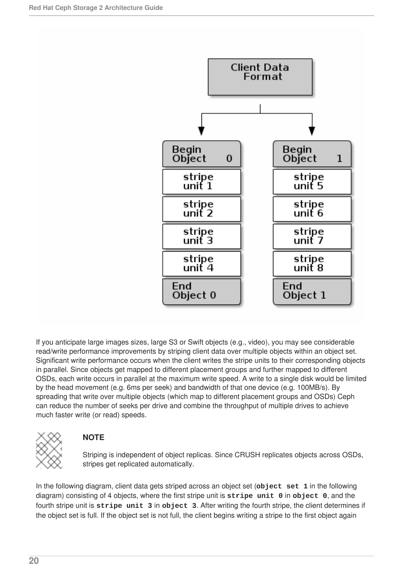

If you anticipate large images sizes, large S3 or Swift objects (e.g., video), you may see considerable read/write performance improvements by striping client data over multiple objects within an object set. Significant write performance occurs when the client writes the stripe units to their corresponding objects in parallel. Since objects get mapped to different placement groups and further mapped to different OSDs, each write occurs in parallel at the maximum write speed. A write to a single disk would be limited by the head movement (e.g. 6ms per seek) and bandwidth of that one device (e.g. 100MB/s). By spreading that write over multiple objects (which map to different placement groups and OSDs) Ceph can reduce the number of seeks per drive and combine the throughput of multiple drives to achieve much faster write (or read) speeds.



#### **NOTE**

Striping is independent of object replicas. Since CRUSH replicates objects across OSDs, stripes get replicated automatically.

In the following diagram, client data gets striped across an object set (**object set 1** in the following diagram) consisting of 4 objects, where the first stripe unit is **stripe unit 0** in **object 0**, and the fourth stripe unit is **stripe unit 3** in **object 3**. After writing the fourth stripe, the client determines if the object set is full. If the object set is not full, the client begins writing a stripe to the first object again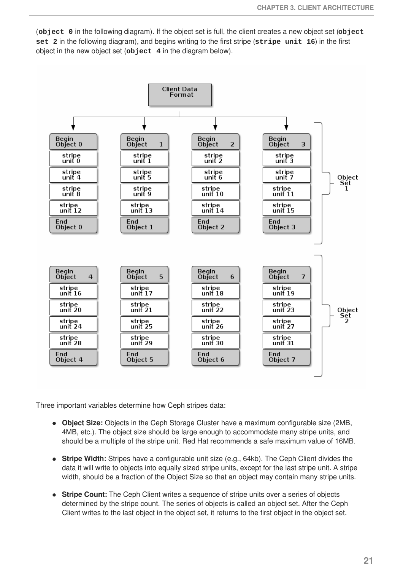(**object 0** in the following diagram). If the object set is full, the client creates a new object set (**object set 2** in the following diagram), and begins writing to the first stripe (**stripe unit 16**) in the first object in the new object set (**object 4** in the diagram below).



Three important variables determine how Ceph stripes data:

- **Object Size:** Objects in the Ceph Storage Cluster have a maximum configurable size (2MB, 4MB, etc.). The object size should be large enough to accommodate many stripe units, and should be a multiple of the stripe unit. Red Hat recommends a safe maximum value of 16MB.
- **Stripe Width:** Stripes have a configurable unit size (e.g., 64kb). The Ceph Client divides the data it will write to objects into equally sized stripe units, except for the last stripe unit. A stripe width, should be a fraction of the Object Size so that an object may contain many stripe units.
- **Stripe Count:** The Ceph Client writes a sequence of stripe units over a series of objects determined by the stripe count. The series of objects is called an object set. After the Ceph Client writes to the last object in the object set, it returns to the first object in the object set.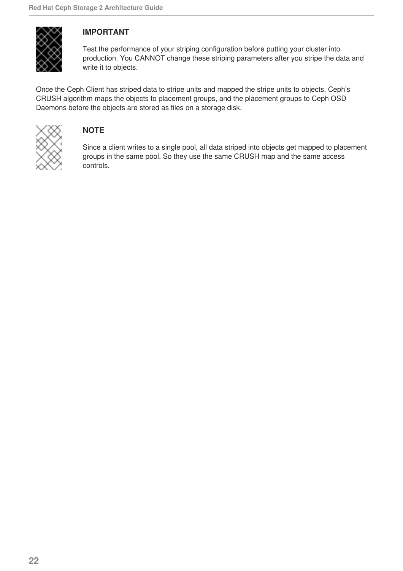

#### **IMPORTANT**

Test the performance of your striping configuration before putting your cluster into production. You CANNOT change these striping parameters after you stripe the data and write it to objects.

Once the Ceph Client has striped data to stripe units and mapped the stripe units to objects, Ceph's CRUSH algorithm maps the objects to placement groups, and the placement groups to Ceph OSD Daemons before the objects are stored as files on a storage disk.



#### **NOTE**

Since a client writes to a single pool, all data striped into objects get mapped to placement groups in the same pool. So they use the same CRUSH map and the same access controls.